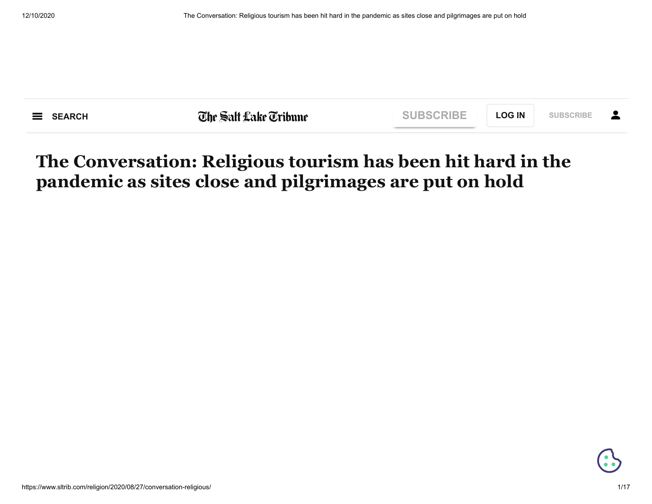

**SEARCH [SUBSCRIBE](https://www.sltrib.com/support) LOG IN [SUBSCRIBE](https://www.sltrib.com/support)**

≗

# **The Conversation: Religious tourism has been hit hard in the pandemic as sites close and pilgrimages are put on hold**

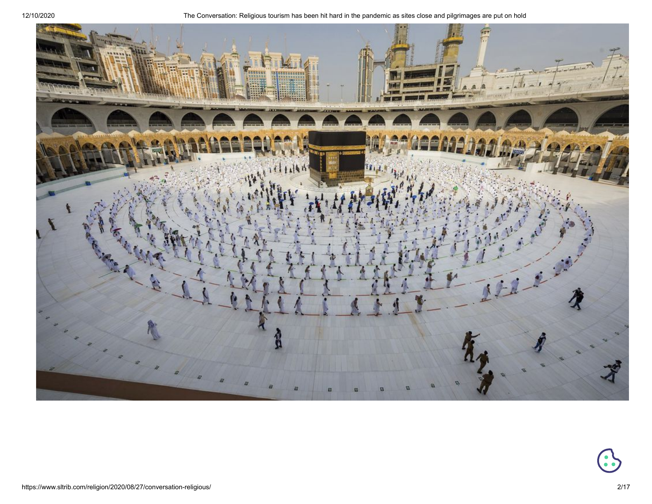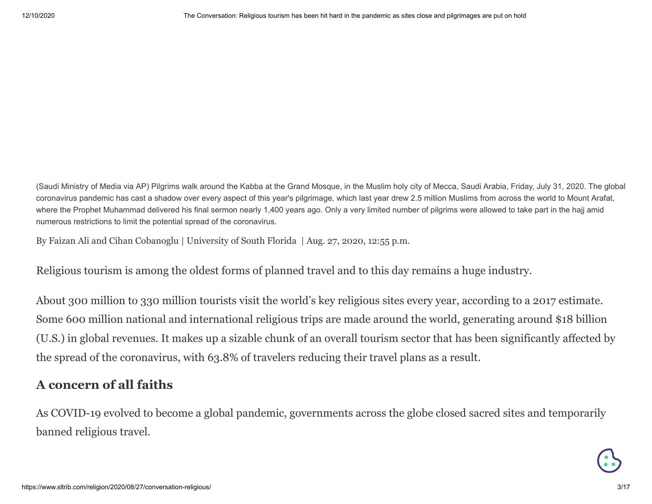(Saudi Ministry of Media via AP) Pilgrims walk around the Kabba at the Grand Mosque, in the Muslim holy city of Mecca, Saudi Arabia, Friday, July 31, 2020. The global coronavirus pandemic has cast a shadow over every aspect of this year's pilgrimage, which last year drew 2.5 million Muslims from across the world to Mount Arafat, where the Prophet Muhammad delivered his final sermon nearly 1,400 years ago. Only a very limited number of pilgrims were allowed to take part in the hajj amid numerous restrictions to limit the potential spread of the coronavirus.

By Faizan Ali and Cihan Cobanoglu | University of South Florida | Aug. 27, 2020, 12:55 p.m.

Religious tourism is among the oldest forms of planned travel and to this day remains a huge industry.

About 300 million to 330 million tourists visit the world's key religious sites every year, according to a 2017 estimate. Some 600 million national and international religious trips are made around the world, generating around \$18 billion (U.S.) in global revenues. It makes up a sizable chunk of an overall tourism sector that has been significantly affected by the spread of the coronavirus, with 63.8% of travelers reducing their travel plans as a result.

## **A concern of all faiths**

As COVID-19 evolved to become a global pandemic, governments across the globe closed sacred sites and temporarily banned religious travel.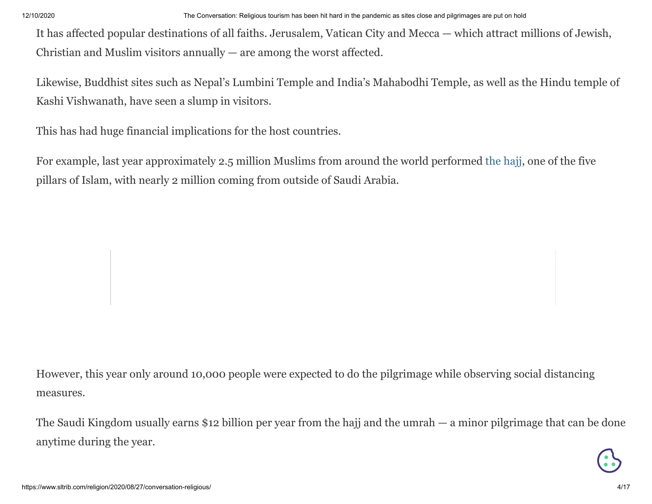12/10/2020 The Conversation: Religious tourism has been hit hard in the pandemic as sites close and pilgrimages are put on hold

It has affected popular destinations of all faiths. Jerusalem, Vatican City and Mecca — which attract millions of Jewish, Christian and Muslim visitors annually — are among the worst affected.

Likewise, Buddhist sites such as Nepal's Lumbini Temple and India's Mahabodhi Temple, as well as the Hindu temple of Kashi Vishwanath, have seen a slump in visitors.

This has had huge financial implications for the host countries.

For example, last year approximately 2.5 million Muslims from around the world performed [the hajj](https://archive.sltrib.com/article.php?id=57033697&itype=CMSID), one of the five pillars of Islam, with nearly 2 million coming from outside of Saudi Arabia.

However, this year only around 10,000 people were expected to do the pilgrimage while observing social distancing measures.

The Saudi Kingdom usually earns \$12 billion per year from the hajj and the umrah — a minor pilgrimage that can be done anytime during the year.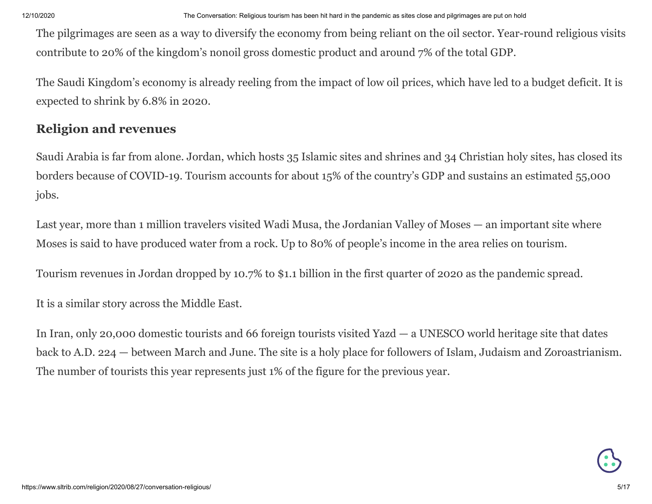12/10/2020 The Conversation: Religious tourism has been hit hard in the pandemic as sites close and pilgrimages are put on hold

The pilgrimages are seen as a way to diversify the economy from being reliant on the oil sector. Year-round religious visits contribute to 20% of the kingdom's nonoil gross domestic product and around 7% of the total GDP.

The Saudi Kingdom's economy is already reeling from the impact of low oil prices, which have led to a budget deficit. It is expected to shrink by 6.8% in 2020.

## **Religion and revenues**

Saudi Arabia is far from alone. Jordan, which hosts 35 Islamic sites and shrines and 34 Christian holy sites, has closed its borders because of COVID-19. Tourism accounts for about 15% of the country's GDP and sustains an estimated 55,000 jobs.

Last year, more than 1 million travelers visited Wadi Musa, the Jordanian Valley of Moses — an important site where Moses is said to have produced water from a rock. Up to 80% of people's income in the area relies on tourism.

Tourism revenues in Jordan dropped by 10.7% to \$1.1 billion in the first quarter of 2020 as the pandemic spread.

It is a similar story across the Middle East.

In Iran, only 20,000 domestic tourists and 66 foreign tourists visited Yazd — a UNESCO world heritage site that dates back to A.D. 224 — between March and June. The site is a holy place for followers of Islam, Judaism and Zoroastrianism. The number of tourists this year represents just 1% of the figure for the previous year.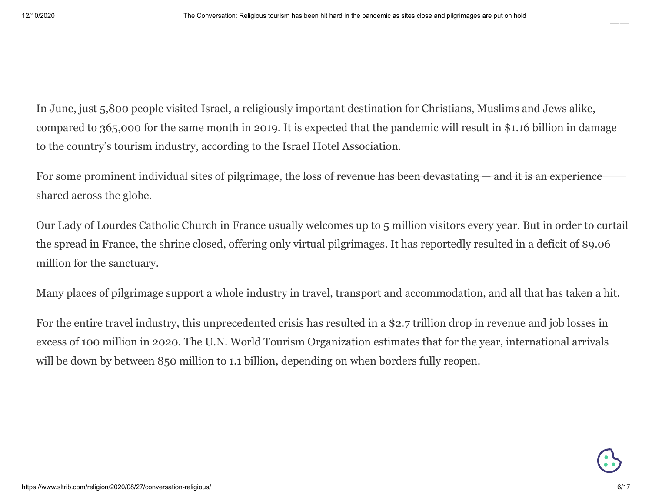[In June, just 5,800 people visited Israel, a religiously import](https://www.googleadservices.com/pagead/aclk?sa=L&ai=CweW-GYbSX8bsBcT8nwSD4JDwCsXOi-1fwfO2sZoMtZAfEAEgheG8SmDJpqeH3KPwEKAB5NygygPIAQngAgCoAwHIAwqqBJQCT9Du4FY5_u37DQdTTtUJearKKpErEDYxH91ZQuVFSAHyOgosoAxUn_fLS1HdH2Mks_vvTHu6CANo03hIdhYgHKjWyWYv9BkUdQjAbU-EPcXx_JynqZNwyxjCm7dcttSexyqK-j7tNhuNBY4a6VLkthunCDL3UD7e4jvCBUcwCnEG0cqRtFDnvfuvFafcx2TAUSnqnMgsmbUyRxaWsJ3CUZFddIUPMyETkTTIoK41F60wvfCKWsukIRqUU_z2AE_mbsnlw9JFvdXOapBWtHm4yz_dtkfLfU-gJkrQDtXITKMbXNyaBDfEweOYUWdKvq6GLTKNyaCxjf096WJ8oOn9DKcelsZ0jpNIxhMr63nno-cDT2iEwATFya-PnQLgBAGgBi6AB4Sj3zWoB9XJG6gH8NkbqAfy2RuoB5SYsQKoB6XfG6gHjs4bqAeT2BuoB7oGqAfulrECqAemvhuoB-zVG6gH89EbqAfs1RuoB5bYG9gHANIIBwiAYRABGB3yCBthZHgtc3Vic3luLTU0NDYwMDk0NjM1NDk5MzSxCXuVVFDKuBqigAoDmAsByAsBgAwBuAwB2BMMiBQB&ae=1&num=1&cid=CAASEuRoqS1t2-exP0xu4V7Sn5LABw&sig=AOD64_0_YjDbf71IJT1-nwTYM-wLngcToQ&client=ca-pub-7165160458962611&nb=9&adurl=https://www.snowflake.com/virtual-hands-on-lab/%3F_bt%3D448716317973%26_bk%3D%26_bm%3D%26_bn%3Dd%26_bg%3D76536341701%26utm_medium%3Dsearch%26utm_source%3Dadwords%26utm_campaign%3DNA%2520-%2520Display%2520-%2520Remarketing%2520-%2520Zero%2520to%2520Snowflake%26utm_adgroup%3DNA%2520-%2520Display%2520-%2520Remarketing%2520-%2520Zero%2520To%2520Snowflake%26utm_term%3D%26utm_region%3Dna%26gclid%3DEAIaIQobChMIht2xtaHE7QIVRP6HCh0DMASuEAEYASAAEgKiQfD_BwE)an[t destination for Christians, Muslims and Jews alike,](https://www.googleadservices.com/pagead/aclk?sa=L&ai=CweW-GYbSX8bsBcT8nwSD4JDwCsXOi-1fwfO2sZoMtZAfEAEgheG8SmDJpqeH3KPwEKAB5NygygPIAQngAgCoAwHIAwqqBJQCT9Du4FY5_u37DQdTTtUJearKKpErEDYxH91ZQuVFSAHyOgosoAxUn_fLS1HdH2Mks_vvTHu6CANo03hIdhYgHKjWyWYv9BkUdQjAbU-EPcXx_JynqZNwyxjCm7dcttSexyqK-j7tNhuNBY4a6VLkthunCDL3UD7e4jvCBUcwCnEG0cqRtFDnvfuvFafcx2TAUSnqnMgsmbUyRxaWsJ3CUZFddIUPMyETkTTIoK41F60wvfCKWsukIRqUU_z2AE_mbsnlw9JFvdXOapBWtHm4yz_dtkfLfU-gJkrQDtXITKMbXNyaBDfEweOYUWdKvq6GLTKNyaCxjf096WJ8oOn9DKcelsZ0jpNIxhMr63nno-cDT2iEwATFya-PnQLgBAGgBi6AB4Sj3zWoB9XJG6gH8NkbqAfy2RuoB5SYsQKoB6XfG6gHjs4bqAeT2BuoB7oGqAfulrECqAemvhuoB-zVG6gH89EbqAfs1RuoB5bYG9gHANIIBwiAYRABGB3yCBthZHgtc3Vic3luLTU0NDYwMDk0NjM1NDk5MzSxCXuVVFDKuBqigAoDmAsByAsBgAwBuAwB2BMMiBQB&ae=1&num=1&cid=CAASEuRoqS1t2-exP0xu4V7Sn5LABw&sig=AOD64_0_YjDbf71IJT1-nwTYM-wLngcToQ&client=ca-pub-7165160458962611&nb=7&adurl=https://www.snowflake.com/virtual-hands-on-lab/%3F_bt%3D448716317973%26_bk%3D%26_bm%3D%26_bn%3Dd%26_bg%3D76536341701%26utm_medium%3Dsearch%26utm_source%3Dadwords%26utm_campaign%3DNA%2520-%2520Display%2520-%2520Remarketing%2520-%2520Zero%2520to%2520Snowflake%26utm_adgroup%3DNA%2520-%2520Display%2520-%2520Remarketing%2520-%2520Zero%2520To%2520Snowflake%26utm_term%3D%26utm_region%3Dna%26gclid%3DEAIaIQobChMIht2xtaHE7QIVRP6HCh0DMASuEAEYASAAEgKiQfD_BwE) compared to 365,000 for the same month in 2019. It is expected that the pandemic will result in \$1.16 billion in damage to the country's tourism industry, according to the Israel Hotel Association.

For some prominent individual sites of pilgrimage, the loss of revenue has been devastating — and it is an experience shared across the globe.

Our Lady of Lourdes Catholic Church in France usually welcomes up to 5 million visitors every year. But in order to curtail the spread in France, the shrine closed, offering only virtual pilgrimages. It has reportedly resulted in a deficit of \$9.06 million for the sanctuary.

Many places of pilgrimage support a whole industry in travel, transport and accommodation, and all that has taken a hit.

For the entire travel industry, this unprecedented crisis has resulted in a \$2.7 trillion drop in revenue and job losses in excess of 100 million in 2020. The U.N. World Tourism Organization estimates that for the year, international arrivals will be down by between 850 million to 1.1 billion, depending on when borders fully reopen.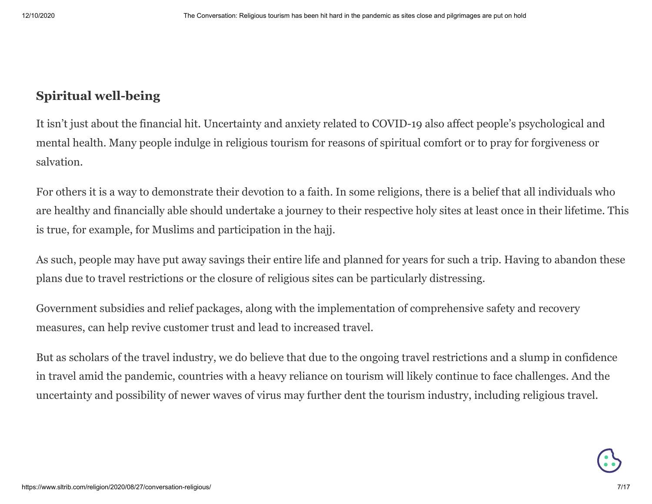## **Spiritual well-being**

It isn't just about the financial hit. Uncertainty and anxiety related to COVID-19 also affect people's psychological and mental health. Many people indulge in religious tourism for reasons of spiritual comfort or to pray for forgiveness or salvation.

For others it is a way to demonstrate their devotion to a faith. In some religions, there is a belief that all individuals who are healthy and financially able should undertake a journey to their respective holy sites at least once in their lifetime. This is true, for example, for Muslims and participation in the hajj.

As such, people may have put away savings their entire life and planned for years for such a trip. Having to abandon these plans due to travel restrictions or the closure of religious sites can be particularly distressing.

Government subsidies and relief packages, along with the implementation of comprehensive safety and recovery measures, can help revive customer trust and lead to increased travel.

But as scholars of the travel industry, we do believe that due to the ongoing travel restrictions and a slump in confidence in travel amid the pandemic, countries with a heavy reliance on tourism will likely continue to face challenges. And the uncertainty and possibility of newer waves of virus may further dent the tourism industry, including religious travel.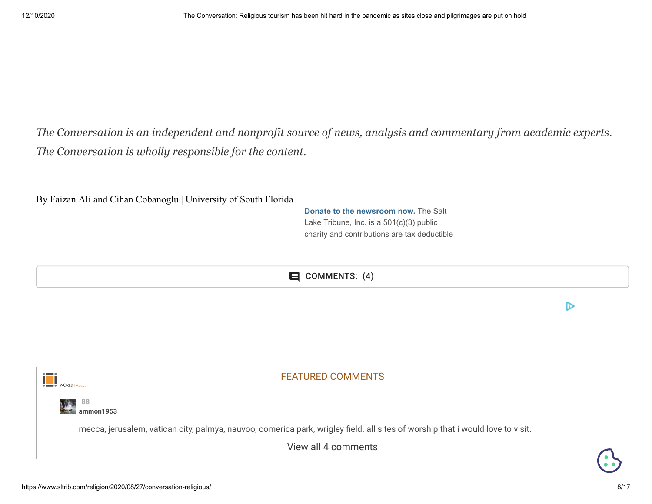*The Conversation is an independent and nonprofit source of news, analysis and commentary from academic experts. The Conversation is wholly responsible for the content.*

By Faizan Ali and Cihan Cobanoglu | University of South Florida

**Donate to the [newsroom](https://www.sltrib.com/donate) now.** The Salt Lake Tribune, Inc. is a 501(c)(3) public charity and contributions are tax deductible

 $\blacksquare$  [COMMENTS:](https://www.sltrib.com/religion/2020/08/27/conversation-religious/comments/#twt-comments) (4)



⋒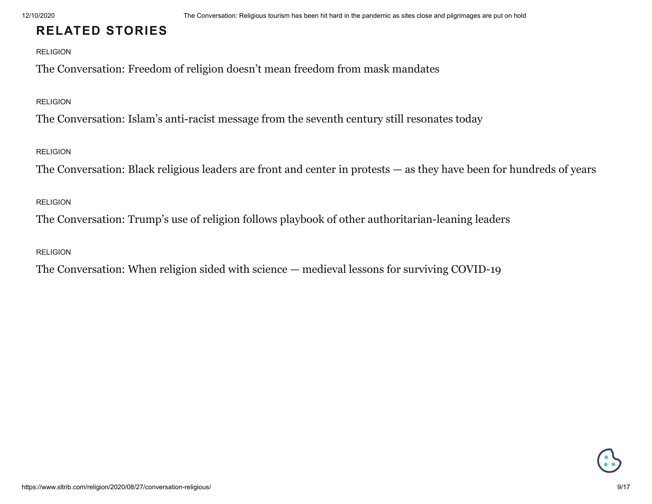## **RELATED STORIES**

RELIGION

[The Conversation: Freedom of religion doesn't mean freedom from mask mandates](https://www.sltrib.com/religion/2020/08/12/conversation-freedom/)

#### RELIGION

[The Conversation: Islam's anti-racist message from the seventh century still resonates today](https://www.sltrib.com/religion/2020/07/06/conversation-islams-anti/)

#### RELIGION

[The Conversation: Black religious leaders are front and center in protests — as they have been for hundreds of years](https://www.sltrib.com/religion/2020/06/18/conversation-black/)

#### RELIGION

[The Conversation: Trump's use of religion follows playbook of other authoritarian-leaning leaders](https://www.sltrib.com/religion/2020/06/08/conversation-trumps-use/)

#### RELIGION

[The Conversation: When religion sided with science — medieval lessons for surviving COVID-19](https://www.sltrib.com/religion/2020/05/18/conversation-when/)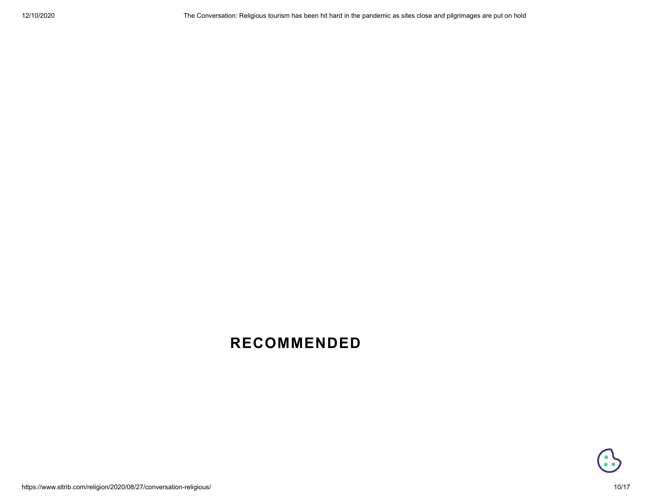## **RECOMMENDED**

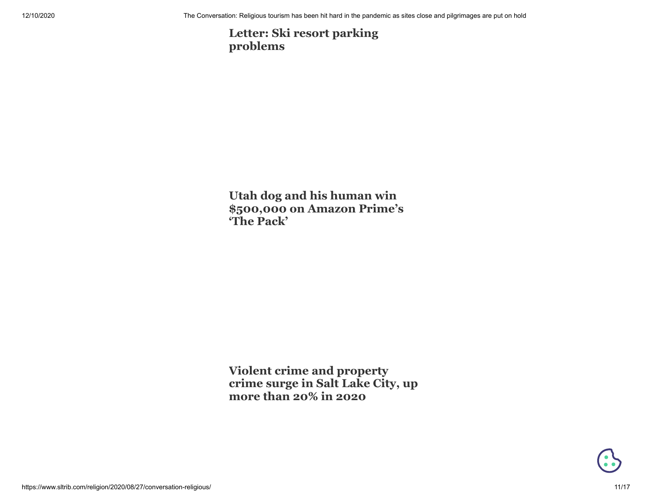## **Letter: Ski resort parking [problems](https://sltrib.com//opinion/letters/2020/12/04/letter-ski-resort-parking/)**

**Utah dog and [his human](https://sltrib.com/artsliving/2020/12/08/utah-dog-his-human-win/) win \$500,000 on Amazon Prime's 'The Pack'**

**Violent crime and [property](https://sltrib.com/news/politics/2020/12/10/violent-crime-property/) crime surge in Salt Lake City, up more than 20% in 2020**

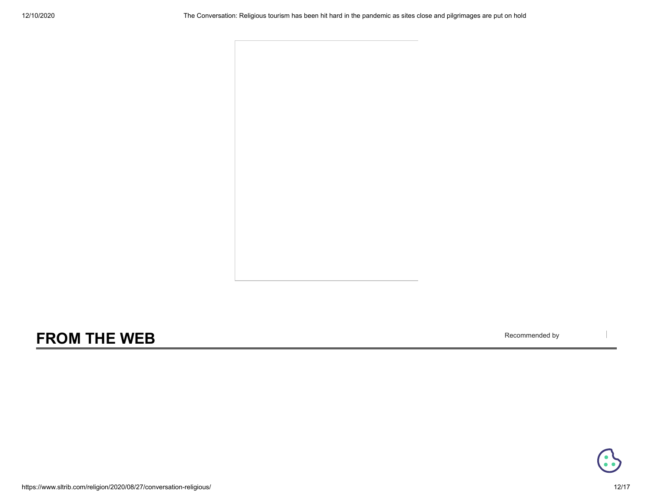## **FROM THE WEB [Recommended by](https://www.outbrain.com/what-is/default/en)**

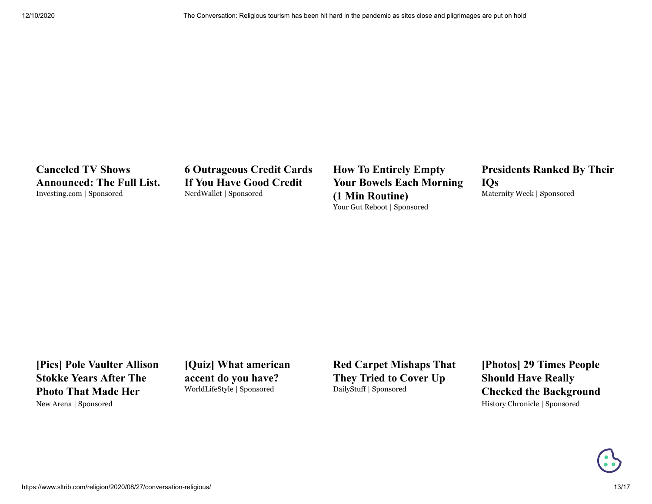**Canceled TV Shows [Announced: The Full List.](https://za.investing.com/magazine/renewed-or-canceled-the-status-of-every-tv-show-for-2020/?utm_source=Outbrain&utm_medium=cpm&utm_campaign=003abe96c8e276c8baa602aa07a08a2c06&utm_content=Canceled+TV+Shows+Announced%3A+The+Full+List.&utm_term=$publisher_name$_$section_name$&origin=outbrain&outbrain_params[ad_id]=002788422d556f553e160b2e12c0ddd577&outbrain_params[doc_title]=Renewed+or+Canceled%3A+The+Status+and+Budget+of+Every+TV+Show+for+2020&outbrain_params[doc_author]=Audrey+Kyanova&outbrain_params[doc_id]=00a68e34d461d32e11524b89d3cfa1e03c&outbrain_params[ad_title]=Canceled+TV+Shows+Announced%3A+The+Full+List.&outbrain_params[publish_date]=20200221&outbrain_params[req_id]=$req_id$&outbrain_params[source_id]=$source_id$&outbrain_params[promoted_link_id]=002788422d556f553e160b2e12c0ddd577&outbrain_params[time_stamp]=$time_stamp$&outbrain_params[campaign_id]=003abe96c8e276c8baa602aa07a08a2c06&outbrain_params[uuid]=$uuid$&outbrain_params[section_id]=$section_id$&outbrain_params[section_name]=$section_name$&outbrain_params[publisher_id]=$publisher_id$&outbrain_params[publisher_name]=$publisher_name$&outbrain_params[ob_click_id]=$ob_click_id$&outbrain_params[android_id]=$android_id$&outbrain_params[idfa]=$idfa$&outbrain_params[cpc]=$cpc$&obOrigUrl=true)** Investing.com | Sponsored

**[6 Outrageous Credit Cards](https://www.nerdwallet.com/ur/?utm_content=835467&nw_campaign_id=150491233013376400&utm_medium=ntv&utm_source=ob&utm_campaign=cc_mktg_paid_092820_rew_demohhi_perf_d_ob&utm_term=$publisher_id$&mktg_place=$section_id$&outbrainClickId=$ob_click_id$&obOrigUrl=true) If You Have Good Credit** NerdWallet | Sponsored

**How To Entirely Empty [Your Bowels Each Morning](https://track.roinattrack.com/e49a3a19-1845-4db2-ac3d-ce99fa9e032c?ADID=00002e5e645149f5aae815d1ce1715eca1&Title=How+To+Entirely+Empty+Your+Bowels+Each+Morning+%281+Min+Routine%29§name=$section_name$&Camp=000b18b781d9d2df29a07142e14e461950§id=$section_id$&pubid=$publisher_id$&pubname=$publisher_name$&obclickId={click.id}&ob_click_id=$ob_click_id$&obOrigUrl=true) (1 Min Routine)** Your Gut Reboot | Sponsored

**[Presidents Ranked By Their](http://maternityweek.com/anthropology-and-history/american-presidents-in-order-of-iqs/?l=a&utm_medium=CPC&utm_content=Presidents+Ranked+By+Their+IQs&utm_source=Outbrain-AdRizer&utm_campaign=308783&utm_term=$publisher_name$_-_$section_name$_-_$publisher_id$_-_$section_id$&obOrigUrl=true) IQs** Maternity Week | Sponsored

**[\[Pics\] Pole Vaulter Allison](https://newarena.com/sports/one-photo-almost-derailed-this-pole-vaulters-promising-career/?amxr=outbrain&utm_campaign=ob_zs_astokke_clicks_dt_CTA&utm_source=ob_ae&utm_term=$section_id$&utm_content=$section_name$&obOrigUrl=true) Stokke Years After The Photo That Made Her** New Arena | Sponsored

**[\[Quiz\] What american](https://r1-usc1.zemanta.com/rp2/b1_outbrainrtb/3542756/28284560/7LQZ5HM7F4GKADCP7S65K45UEVWE6HBMRYYLYMLOZGFLSOUGZFEZLZHG6BH4BFB35DV45BCVRMKHC47TZTINNRBWEFFIEIXWJDIJCZGCUUJBU2RUOFPUOPXMKL72UPKYKGKREZ5KN4GCVQCE3JPXKMWKZTUCDS5CMF6QGSRW2WL3HIEYUPKIVVN6BMQLTXG3L5BPGEPDPDDSHUVBNMXTZFFAHVBFAIXCS2UOVDHXAIKR6KC4P7XDWP6J6BFVVJGYQYN27LRL4D5TDM5RIL7G2AYHEPGSYGBIU7FTR6NLXSHNOW6BZOF5VB7Z2UA7VMUOGU7QWCIN5F2CDPDVFJNUIIOIG4KNN7IJOB2YHOCRDRE7W3FX62SVYIME2KT3FY2HHS7QB2LTXXQHBQM4JNY3ET3JXWUGPTUHBM543JDNY34MNGDYGB4IJX6BQH2WQLJQD6L6VCGLJY242FPNOWN2ZVYHPDJCRVPDDHVGWEZ5JDILV4K5ZNC5G5OESKLS2AAQP5QOF4QBYKFUDNK6PCXZB6BETJEPOVYTBGL7CDO5KNMBM4LBHSF3LYNUTYKQH6VYB7QFXCCH6FII6RFIMV73TTLH5WYXZJARMV3IMMCMPV2ZJTJRYOS7L2MTDWOVG2FE6JZWDNFD7XOAD6IYS4AACGZ74GEVTLJMRG7XXNRLJFBR3NX33KTSTGZNMQSZ7W4H/?obOrigUrl=true) accent do you have?** WorldLifeStyle | Sponsored

**[Red Carpet Mishaps That](https://r1-usc1.zemanta.com/rp2/b1_outbrainrtb/4347802/32027755/MXUGZ6WSVPPME6LBPBVCUAI7XV45I3W7OA57RZQKZRITYILDZPFAPIM6ECAJV6H2XNQU4CM7YDN73E3E4UFPFZNR6L5D4PHH4HM23SHZ4IFG3L2Q3BVBG7ONP66QZR4GRRGFX2ECJI5SF5IALNR5KAEYMSJGP6DBUCXIEP6L555WS6GUVJPTLQNWIUAN6GFABHIPUVN3VJP3KWDW5DGV4XOOHAJ3TOU47W3EYSENFEA467BHBDFLWNRKLD7ZPLXVAGBRYT6ZD5TMR45K7FWVIK3XIPH3NH2KTHMBED4B5NYZ6FUVZ6OHM4JOW5VXV2RPCHBZYDHL62LTDIDV4FFS2TYMQGVBUDCYKYZJ5ARPA2V3BHW3GF6KCEWYPS7N73CUHCT6RI33TLDX75PHYSNKX6NOTXH5KRTF5GXVLS4XSO4X4GIKIQ76EI3CYZCXL43R7PF6AO7MLYC7UY4M344MTEDVFMBSPH4SKWOKUA26524ZPOU23JPUARE3CQ65XJLWOF6KVWGKTWFWEI67KLUL3ZIPTIIBZ6XYQQEDIJJFWBEYUOQ2OFJHAJUXGSIXSM7SE4R3W3D76QTXC7OD5XU4KOYRZGCNPTLT77TWAINHY4GOG7UYE3ZTOWN4A22HVTSIWIDR4T6REVMAR2GCOMJDZQMVDON4WZPZOPOQIP2RIQUHVDVTFBTISSID5AR5XC7NL4BFDBXR2NN7X2FUZUZJARQCGB6LITJO7MWT4MT6KZ746R6JH7UVZD4L3SOR74K6/?obOrigUrl=true) They Tried to Cover Up** DailyStuff | Sponsored

**[Photos] 29 Times People Should Have Really [Checked the Background](http://www.historychronicle.com/view/laughable-photo-bombs/?src=outbrain&utm_source=outbrain&utm_medium=$section_id$&utm_campaign=004ef27f8a0185de3eff65eea5d917b3ae&utm_key=160&utm_content=000f76471ba500fd0a6c878c07e296a73e&utm_term=HC_D_US_laughable-photo-bombs_hagai_w_165184185&guid=$ob_click_id$&obOrigUrl=true)** History Chronicle | Sponsored

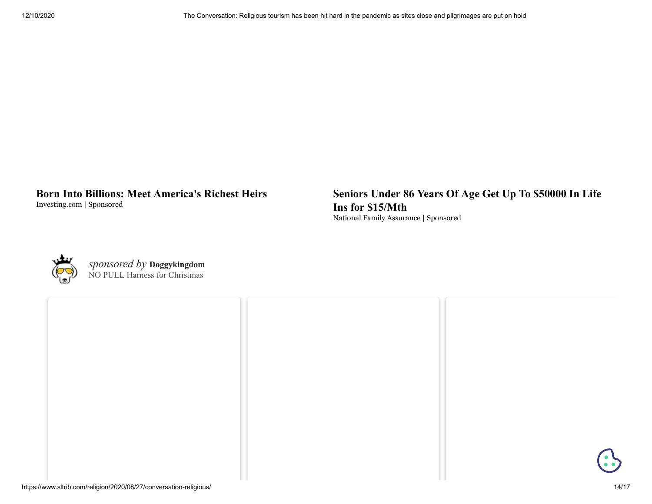#### **[Born Into Billions: Meet America's Richest Heirs](https://za.investing.com/magazine/top-25-richest-heirs-heiresses-in-america/?utm_source=Outbrain&utm_medium=cpm&utm_campaign=00eec70c7e2c49885e620572126273de35&utm_content=Born+Into+Billions%3A+Meet+America%27s+Richest+Heirs&utm_term=$publisher_name$_$section_name$&origin=outbrain&outbrain_params[ad_id]=005af27702ae3c07163f459f56a677ebdb&outbrain_params[doc_title]=Top+25+Richest+Heirs+%26+Heiresses+in+America&outbrain_params[doc_author]=Audrey+Kyanova&outbrain_params[doc_id]=00a7ab738294382c15a93754dbf1d845b5&outbrain_params[ad_title]=Born+Into+Billions%3A+Meet+America%27s+Richest+Heirs&outbrain_params[publish_date]=20190501&outbrain_params[req_id]=$req_id$&outbrain_params[source_id]=$source_id$&outbrain_params[promoted_link_id]=005af27702ae3c07163f459f56a677ebdb&outbrain_params[time_stamp]=$time_stamp$&outbrain_params[campaign_id]=00eec70c7e2c49885e620572126273de35&outbrain_params[uuid]=$uuid$&outbrain_params[section_id]=$section_id$&outbrain_params[section_name]=$section_name$&outbrain_params[publisher_id]=$publisher_id$&outbrain_params[publisher_name]=$publisher_name$&outbrain_params[ob_click_id]=$ob_click_id$&outbrain_params[android_id]=$android_id$&outbrain_params[idfa]=$idfa$&outbrain_params[cpc]=$cpc$&obOrigUrl=true)** Investing.com | Sponsored

**[Seniors Under 86 Years Of Age Get Up To \\$50000 In Life](https://prod-use.perf-serving.com/click/S4kCB-PHDY23GQ7I8lU90EFac4BP4tvbpnmFNoZtXBW9qs3adt8MpwMzdhsS80keUDPMgnqXowpSsuQqr6dnaGLk-A3kPlmomU8ge8kZVw9fdgR804wK3t2tNsKeJZBKboKOXvHIrlFUJBq58um1wOgYMo2KUdag6eoNm6aWf8YpHUXjBvyS0muR3s5_cTeq-3YsZ18UQ2LcRthzfrM0obK3Olj5qOxersMq7af68EqRvT5n8HiFKY1BKmlIN8NX10QRiQXq5mnRzZKt2uiIN5RCGZ-phHuA6fk_cSstcgMuZdni4yuxjJiMSrCkm5caLbgyPEDJxFR1L0FRoxNS0W-LpGpz3sSDP0kbmuJCXMnIoNv0xmQ5SEgT37ZYljyTQWIcp4PjzdFKBt575CNxVJ2YY_JCN4zmwA1JK2cPXSNQJdnVUwo7jByu0VCi-_33swGL0ocVip_504fn16DM-hM1N5vW24ieGJJJra7rbV7mpqI55OGyd62vzs6e5Kel6S4-h-QqAV8J4muOf5Rz6Pp51I-kSsgCoxyjxGdVX9jH58hVAa41mMQPtSZeh5hXzsbruwqbV56d5-wLOm2BwvRC_lhSruwgrfXzO9onYh2lqFL1fTv0vJc80u1mZ6qzsrIyVNjLPgTkMP3lSDvC5hfR58lmWjxNFAlVraurEcBLFP04jI3R5r8Is78_N-gOuQUgITQ7kjhB1Z7V5LVhb5ZqM1um5R4qqqcDLpvP9fPqIYmERqta61YPlKOo0N3Q3NhbFxAfcTgDQhReRdoMQG61NVDUlf91GZk4UwHagpUTsuMD4sk2gmAhnku162iR7ujjuMYtWFf41tnsqHeWSEb_6kRDPc9xHtLtL1wpcsXKJuuu3xhd-lDnuxLI3wLgqXGF8ZnchZAsMqyYqr6bQ_9ik5bSfrZGFrNDTIWPm9JA4NsMk_a0bJ4aSknn3dTo3oQTUwp53MR4onQS6AnrQbUTbLPZrM_jI98626Vz6OJx_uEF7eVOZaj-iz-vP1IoFNnY4-4Vm1NkTunTLW8kX9ZMstKCoPY0BSgLhu7PY18CWwPtl3WFSXq2MS4EAx22MAkdycfjlEzm8-AZ6vnl_wanLrZGKXJwdeDlOVHCOKEkYBwpBudJtWiVKTqLzEFIdpiV5SdjAHUozNFrzvvBbpPlg5ouv9b2MiiqqK1u_br1ru0uFBF9Vv7_1hzmNlwuNH88vA9VH0TkvbIE-2qwuNEKKD9A7CXHpBj_Y1HH3YztP-Zj29Mf9NrXOS7rTC1CmQ2iOcvu-E5wKJv3SrrK474chu6mtNWIjOv3SEFHlsAhooYi-GaaMgm1QHVwHQL_SnyokrJysjOmAabh4P57cJgkdepa///?obOrigUrl=true) Ins for \$15/Mth** National Family Assurance | Sponsored



*sponsored by* **Doggykingdom** NO PULL Harness for Christmas

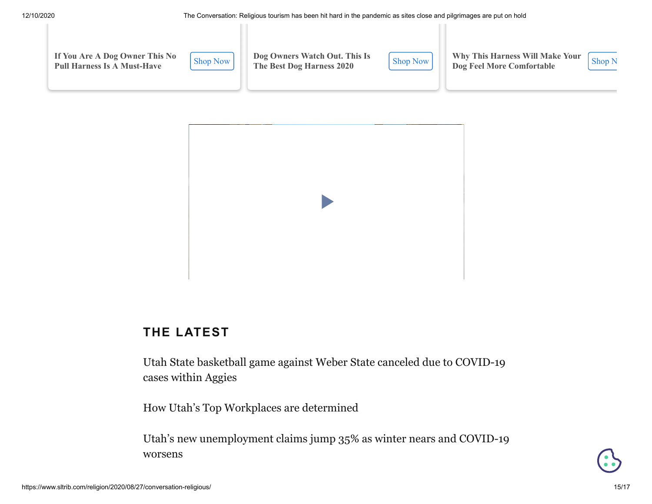



## **THE LATEST**

[Utah State basketball game against Weber State canceled due to COVID-19](https://www.sltrib.com/sports/utah-state-sports/2020/12/10/utah-state-basketball/) cases within Aggies

[How Utah's Top Workplaces are determined](https://www.sltrib.com/news/2020/12/10/how-utahs-top-workplaces/)

[Utah's new unemployment claims jump 35% as winter nears and COVID-19](https://www.sltrib.com/news/2020/12/10/utahs-new-unemployment/) worsens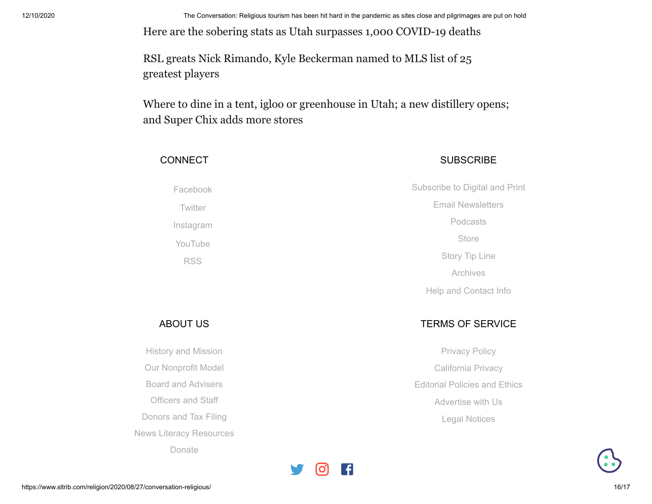12/10/2020 The Conversation: Religious tourism has been hit hard in the pandemic as sites close and pilgrimages are put on hold

[Here are the sobering stats as Utah surpasses 1,000 COVID-19 deaths](https://www.sltrib.com/news/2020/12/10/here-are-sobering-stats/)

[RSL greats Nick Rimando, Kyle Beckerman named to MLS list of 25](https://www.sltrib.com/sports/rsl/2020/12/10/nick-rimando-kyle/) greatest players

[Where to dine in a tent, igloo or greenhouse in Utah; a new distillery opens;](https://www.sltrib.com/artsliving/food/2020/12/10/where-dine-tent-igloo-or/) and Super Chix adds more stores

| <b>CONNECT</b> | S        |
|----------------|----------|
| Facebook       | Subscrib |
| Twitter        | Em       |
| Instagram      |          |
| YouTube        |          |
| <b>RSS</b>     | C        |
|                |          |

#### **SUBSCRIBE**

e to [Digital and](https://www.sltrib.com/subscribe) Print ail Newsletters [Podcasts](https://www.sltrib.com/podcasts) [Store](https://store.sltrib.com/) [Story](https://www.sltrib.com/tips) Tip Line [Archives](https://archive.sltrib.com/) Help and [Contact](https://www.sltrib.com/contact-us) Info

### TERMS OF SERVICE

[Privacy](https://www.sltrib.com/privacy-policy) Policy [California](https://www.sltrib.com/privacy-policy/#california) Privacy [Editorial Policies](https://www.sltrib.com/policies-and-ethics) and Ethics [Advertise](https://www.sltrib.com/advertise-with-us) with Us [Legal Notices](https://www.sltrib.com/legal-notices)



ABOUT US

History and [Mission](https://www.sltrib.com/about-us/#our-history) Our [Nonprofit](https://www.sltrib.com/about-us/#nonprofit) Model Board and [Advisers](https://www.sltrib.com/board-and-advisers) [Officers](https://www.sltrib.com/staff) and Staff

[Donors](https://www.sltrib.com/reports) and Tax Filing

News Literacy [Resources](https://www.sltrib.com/educators)

**[Donate](https://www.sltrib.com/donate)**